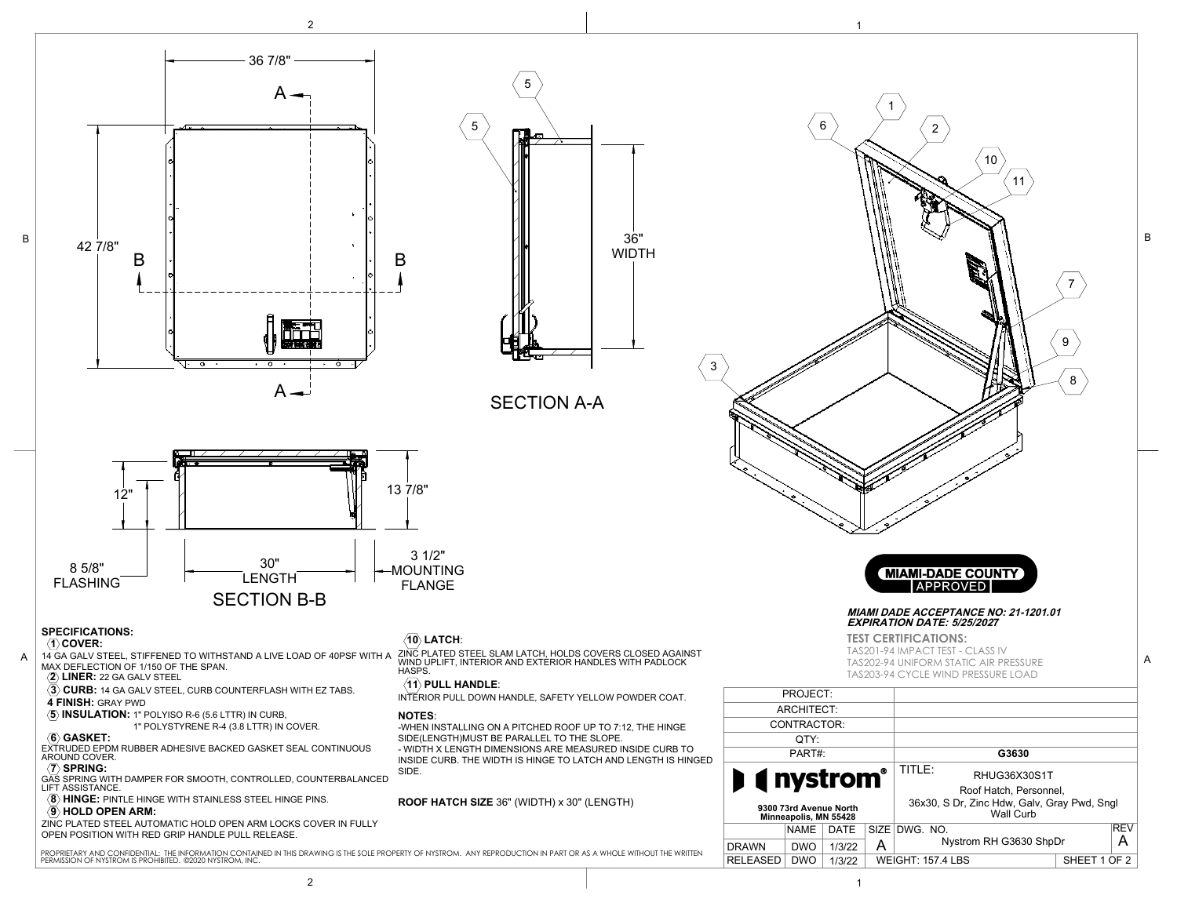